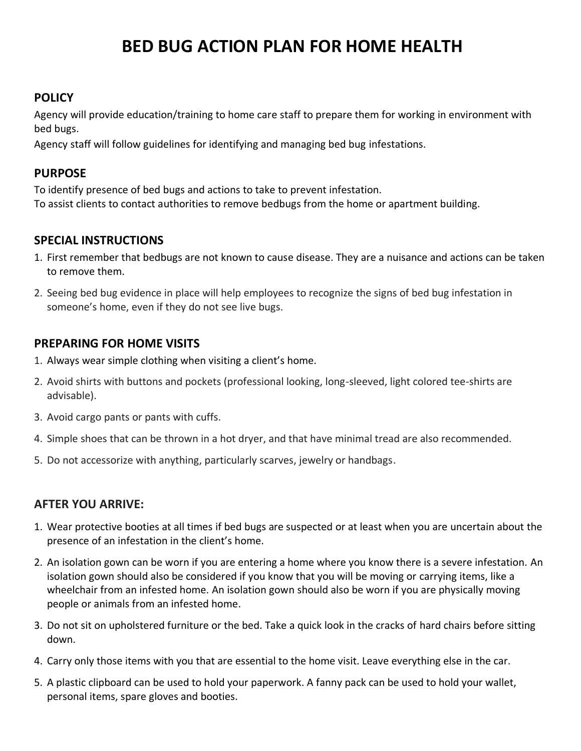# **BED BUG ACTION PLAN FOR HOME HEALTH**

## **POLICY**

Agency will provide education/training to home care staff to prepare them for working in environment with bed bugs.

Agency staff will follow guidelines for identifying and managing bed bug infestations.

## **PURPOSE**

To identify presence of bed bugs and actions to take to prevent infestation. To assist clients to contact authorities to remove bedbugs from the home or apartment building.

## **SPECIAL INSTRUCTIONS**

- 1. First remember that bedbugs are not known to cause disease. They are a nuisance and actions can be taken to remove them.
- 2. Seeing bed bug evidence in place will help employees to recognize the signs of bed bug infestation in someone's home, even if they do not see live bugs.

## **PREPARING FOR HOME VISITS**

- 1. Always wear simple clothing when visiting a client's home.
- 2. Avoid shirts with buttons and pockets (professional looking, long-sleeved, light colored tee-shirts are advisable).
- 3. Avoid cargo pants or pants with cuffs.
- 4. Simple shoes that can be thrown in a hot dryer, and that have minimal tread are also recommended.
- 5. Do not accessorize with anything, particularly scarves, jewelry or handbags.

## **AFTER YOU ARRIVE:**

- 1. Wear protective booties at all times if bed bugs are suspected or at least when you are uncertain about the presence of an infestation in the client's home.
- 2. An isolation gown can be worn if you are entering a home where you know there is a severe infestation. An isolation gown should also be considered if you know that you will be moving or carrying items, like a wheelchair from an infested home. An isolation gown should also be worn if you are physically moving people or animals from an infested home.
- 3. Do not sit on upholstered furniture or the bed. Take a quick look in the cracks of hard chairs before sitting down.
- 4. Carry only those items with you that are essential to the home visit. Leave everything else in the car.
- 5. A plastic clipboard can be used to hold your paperwork. A fanny pack can be used to hold your wallet, personal items, spare gloves and booties.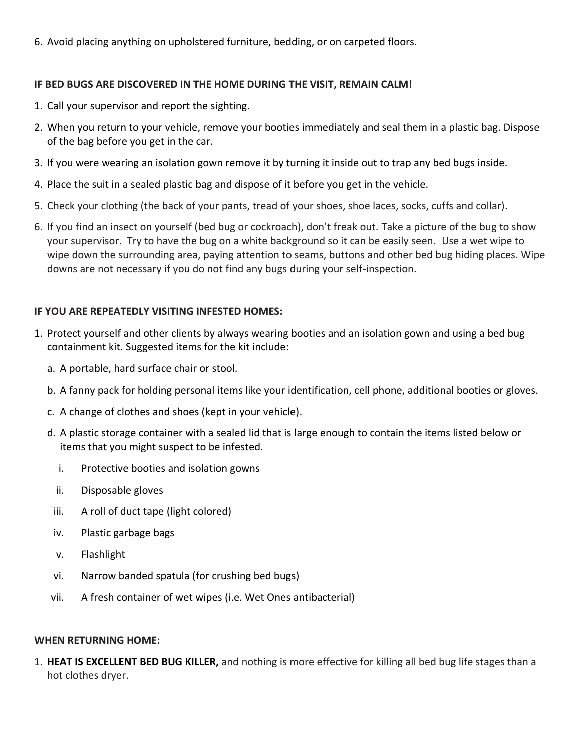6. Avoid placing anything on upholstered furniture, bedding, or on carpeted floors.

### **IF BED BUGS ARE DISCOVERED IN THE HOME DURING THE VISIT, REMAIN CALM!**

- 1. Call your supervisor and report the sighting.
- 2. When you return to your vehicle, remove your booties immediately and seal them in a plastic bag. Dispose of the bag before you get in the car.
- 3. If you were wearing an isolation gown remove it by turning it inside out to trap any bed bugs inside.
- 4. Place the suit in a sealed plastic bag and dispose of it before you get in the vehicle.
- 5. Check your clothing (the back of your pants, tread of your shoes, shoe laces, socks, cuffs and collar).
- 6. If you find an insect on yourself (bed bug or cockroach), don't freak out. Take a picture of the bug to show your supervisor. Try to have the bug on a white background so it can be easily seen. Use a wet wipe to wipe down the surrounding area, paying attention to seams, buttons and other bed bug hiding places. Wipe downs are not necessary if you do not find any bugs during your self-inspection.

## **IF YOU ARE REPEATEDLY VISITING INFESTED HOMES:**

- 1. Protect yourself and other clients by always wearing booties and an isolation gown and using a bed bug containment kit. Suggested items for the kit include:
	- a. A portable, hard surface chair or stool.
	- b. A fanny pack for holding personal items like your identification, cell phone, additional booties or gloves.
	- c. A change of clothes and shoes (kept in your vehicle).
	- d. A plastic storage container with a sealed lid that is large enough to contain the items listed below or items that you might suspect to be infested.
		- i. Protective booties and isolation gowns
		- ii. Disposable gloves
		- iii. A roll of duct tape (light colored)
		- iv. Plastic garbage bags
		- v. Flashlight
		- vi. Narrow banded spatula (for crushing bed bugs)
	- vii. A fresh container of wet wipes (i.e. Wet Ones antibacterial)

### **WHEN RETURNING HOME:**

1. **HEAT IS EXCELLENT BED BUG KILLER,** and nothing is more effective for killing all bed bug life stages than a hot clothes dryer.